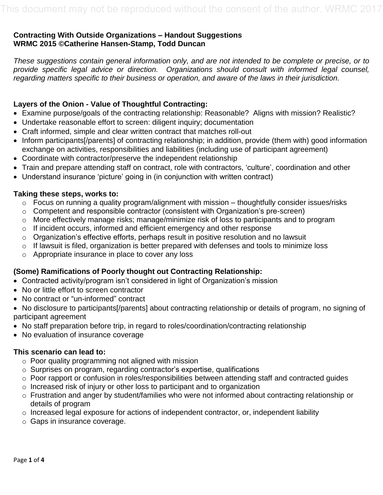# **Contracting With Outside Organizations – Handout Suggestions WRMC 2015 ©Catherine Hansen-Stamp, Todd Duncan**

*These suggestions contain general information only, and are not intended to be complete or precise, or to provide specific legal advice or direction. Organizations should consult with informed legal counsel, regarding matters specific to their business or operation, and aware of the laws in their jurisdiction.* 

# **Layers of the Onion - Value of Thoughtful Contracting:**

- Examine purpose/goals of the contracting relationship: Reasonable? Aligns with mission? Realistic?
- Undertake reasonable effort to screen: diligent inquiry; documentation
- Craft informed, simple and clear written contract that matches roll-out
- Inform participants[/parents] of contracting relationship; in addition, provide (them with) good information exchange on activities, responsibilities and liabilities (including use of participant agreement)
- Coordinate with contractor/preserve the independent relationship
- Train and prepare attending staff on contract, role with contractors, 'culture', coordination and other
- Understand insurance 'picture' going in (in conjunction with written contract)

# **Taking these steps, works to:**

- o Focus on running a quality program/alignment with mission thoughtfully consider issues/risks
- o Competent and responsible contractor (consistent with Organization's pre-screen)
- o More effectively manage risks; manage/minimize risk of loss to participants and to program
- o If incident occurs, informed and efficient emergency and other response
- o Organization's effective efforts, perhaps result in positive resolution and no lawsuit
- $\circ$  If lawsuit is filed, organization is better prepared with defenses and tools to minimize loss
- o Appropriate insurance in place to cover any loss

# **(Some) Ramifications of Poorly thought out Contracting Relationship:**

- Contracted activity/program isn't considered in light of Organization's mission
- No or little effort to screen contractor
- No contract or "un-informed" contract
- No disclosure to participants[/parents] about contracting relationship or details of program, no signing of participant agreement
- No staff preparation before trip, in regard to roles/coordination/contracting relationship
- No evaluation of insurance coverage

# **This scenario can lead to:**

- o Poor quality programming not aligned with mission
- o Surprises on program, regarding contractor's expertise, qualifications
- o Poor rapport or confusion in roles/responsibilities between attending staff and contracted guides
- o Increased risk of injury or other loss to participant and to organization
- o Frustration and anger by student/families who were not informed about contracting relationship or details of program
- o Increased legal exposure for actions of independent contractor, or, independent liability
- o Gaps in insurance coverage.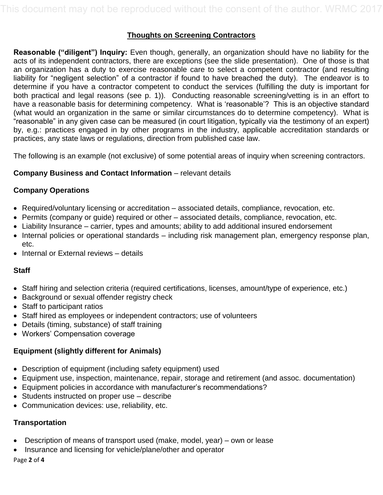# **Thoughts on Screening Contractors**

**Reasonable ("diligent") Inquiry:** Even though, generally, an organization should have no liability for the acts of its independent contractors, there are exceptions (see the slide presentation). One of those is that an organization has a duty to exercise reasonable care to select a competent contractor (and resulting liability for "negligent selection" of a contractor if found to have breached the duty). The endeavor is to determine if you have a contractor competent to conduct the services (fulfilling the duty is important for both practical and legal reasons (see p. 1)). Conducting reasonable screening/vetting is in an effort to have a reasonable basis for determining competency. What is 'reasonable'? This is an objective standard (what would an organization in the same or similar circumstances do to determine competency). What is "reasonable" in any given case can be measured (in court litigation, typically via the testimony of an expert) by, e.g.: practices engaged in by other programs in the industry, applicable accreditation standards or practices, any state laws or regulations, direction from published case law.

The following is an example (not exclusive) of some potential areas of inquiry when screening contractors.

## **Company Business and Contact Information** – relevant details

## **Company Operations**

- Required/voluntary licensing or accreditation associated details, compliance, revocation, etc.
- Permits (company or guide) required or other associated details, compliance, revocation, etc.
- Liability Insurance carrier, types and amounts; ability to add additional insured endorsement
- Internal policies or operational standards including risk management plan, emergency response plan, etc.
- Internal or External reviews details

#### **Staff**

- Staff hiring and selection criteria (required certifications, licenses, amount/type of experience, etc.)
- Background or sexual offender registry check
- Staff to participant ratios
- Staff hired as employees or independent contractors; use of volunteers
- Details (timing, substance) of staff training
- Workers' Compensation coverage

# **Equipment (slightly different for Animals)**

- Description of equipment (including safety equipment) used
- Equipment use, inspection, maintenance, repair, storage and retirement (and assoc. documentation)
- Equipment policies in accordance with manufacturer's recommendations?
- Students instructed on proper use describe
- Communication devices: use, reliability, etc.

# **Transportation**

- Description of means of transport used (make, model, year) own or lease
- Insurance and licensing for vehicle/plane/other and operator

Page **2** of **4**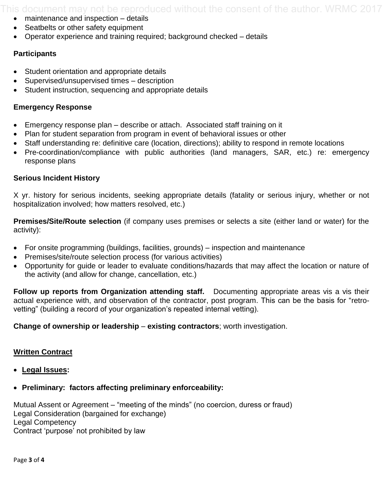This document may not be reproduced without the consent of the author. WRMC 2017

- maintenance and inspection details
- Seatbelts or other safety equipment
- Operator experience and training required; background checked details

## **Participants**

- Student orientation and appropriate details
- Supervised/unsupervised times description
- Student instruction, sequencing and appropriate details

## **Emergency Response**

- Emergency response plan describe or attach. Associated staff training on it
- Plan for student separation from program in event of behavioral issues or other
- Staff understanding re: definitive care (location, directions); ability to respond in remote locations
- Pre-coordination/compliance with public authorities (land managers, SAR, etc.) re: emergency response plans

#### **Serious Incident History**

X yr. history for serious incidents, seeking appropriate details (fatality or serious injury, whether or not hospitalization involved; how matters resolved, etc.)

**Premises/Site/Route selection** (if company uses premises or selects a site (either land or water) for the activity):

- For onsite programming (buildings, facilities, grounds) inspection and maintenance
- Premises/site/route selection process (for various activities)
- Opportunity for guide or leader to evaluate conditions/hazards that may affect the location or nature of the activity (and allow for change, cancellation, etc.)

**Follow up reports from Organization attending staff.** Documenting appropriate areas vis a vis their actual experience with, and observation of the contractor, post program. This can be the basis for "retrovetting" (building a record of your organization's repeated internal vetting).

**Change of ownership or leadership – existing contractors; worth investigation.** 

#### **Written Contract**

- **Legal Issues:**
- **Preliminary: factors affecting preliminary enforceability:**

Mutual Assent or Agreement – "meeting of the minds" (no coercion, duress or fraud) Legal Consideration (bargained for exchange) Legal Competency Contract 'purpose' not prohibited by law